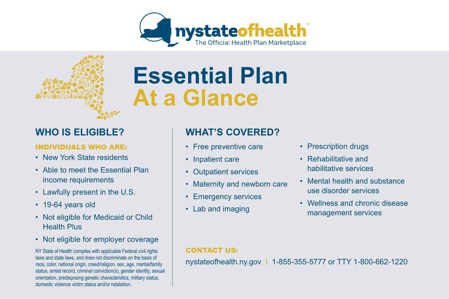



# **Essential Plan At a Glance**

### **WHO IS ELIGIBLE?**

#### INDIVIDUALS WHO ARE:

- New York State residents
- Able to meet the Essential Plan income requirements
- Lawfully present in the U.S.
- 19-64 years old
- Not eligible for Medicaid or Child Health Plus
- Not eligible for employer coverage

NY State of Health complies with applicable Federal civil rights laws and state laws, and does not discriminate on the basis of race, color, national origin, creed/religion, sex, age, marital/family status, arrest record, criminal conviction(s), gender identity, sexual orientation, predisposing genetic characteristics, military status, domestic violence victim status and/or retaliation.

## **WHAT'S COVERED?**

- Free preventive care
- Inpatient care
- Outpatient services
- Maternity and newborn care
- Emergency services
- Lab and imaging
- Prescription drugs
- Rehabilitative and habilitative services
- Mental health and substance use disorder services
- Wellness and chronic disease management services

#### CONTACT US:

nystateofhealth.ny.gov **|** 1-855-355-5777 or TTY 1-800-662-1220